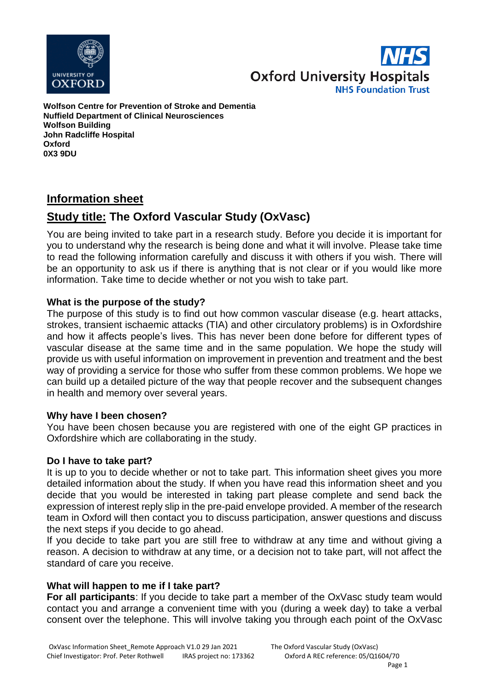



**Wolfson Centre for Prevention of Stroke and Dementia Nuffield Department of Clinical Neurosciences Wolfson Building John Radcliffe Hospital Oxford 0X3 9DU**

# **Information sheet**

# **Study title: The Oxford Vascular Study (OxVasc)**

You are being invited to take part in a research study. Before you decide it is important for you to understand why the research is being done and what it will involve. Please take time to read the following information carefully and discuss it with others if you wish. There will be an opportunity to ask us if there is anything that is not clear or if you would like more information. Take time to decide whether or not you wish to take part.

## **What is the purpose of the study?**

The purpose of this study is to find out how common vascular disease (e.g. heart attacks, strokes, transient ischaemic attacks (TIA) and other circulatory problems) is in Oxfordshire and how it affects people's lives. This has never been done before for different types of vascular disease at the same time and in the same population. We hope the study will provide us with useful information on improvement in prevention and treatment and the best way of providing a service for those who suffer from these common problems. We hope we can build up a detailed picture of the way that people recover and the subsequent changes in health and memory over several years.

#### **Why have I been chosen?**

You have been chosen because you are registered with one of the eight GP practices in Oxfordshire which are collaborating in the study.

#### **Do I have to take part?**

It is up to you to decide whether or not to take part. This information sheet gives you more detailed information about the study. If when you have read this information sheet and you decide that you would be interested in taking part please complete and send back the expression of interest reply slip in the pre-paid envelope provided. A member of the research team in Oxford will then contact you to discuss participation, answer questions and discuss the next steps if you decide to go ahead.

If you decide to take part you are still free to withdraw at any time and without giving a reason. A decision to withdraw at any time, or a decision not to take part, will not affect the standard of care you receive.

# **What will happen to me if I take part?**

**For all participants**: If you decide to take part a member of the OxVasc study team would contact you and arrange a convenient time with you (during a week day) to take a verbal consent over the telephone. This will involve taking you through each point of the OxVasc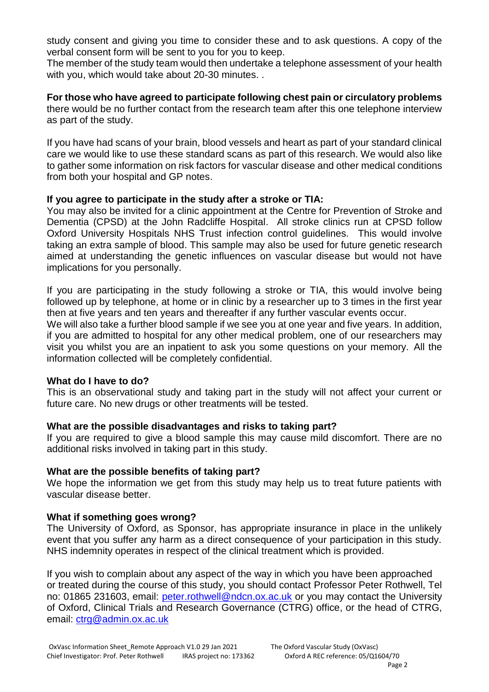study consent and giving you time to consider these and to ask questions. A copy of the verbal consent form will be sent to you for you to keep.

The member of the study team would then undertake a telephone assessment of your health with you, which would take about 20-30 minutes. .

**For those who have agreed to participate following chest pain or circulatory problems** there would be no further contact from the research team after this one telephone interview as part of the study.

If you have had scans of your brain, blood vessels and heart as part of your standard clinical care we would like to use these standard scans as part of this research. We would also like to gather some information on risk factors for vascular disease and other medical conditions from both your hospital and GP notes.

## **If you agree to participate in the study after a stroke or TIA:**

You may also be invited for a clinic appointment at the Centre for Prevention of Stroke and Dementia (CPSD) at the John Radcliffe Hospital. All stroke clinics run at CPSD follow Oxford University Hospitals NHS Trust infection control guidelines. This would involve taking an extra sample of blood. This sample may also be used for future genetic research aimed at understanding the genetic influences on vascular disease but would not have implications for you personally.

If you are participating in the study following a stroke or TIA, this would involve being followed up by telephone, at home or in clinic by a researcher up to 3 times in the first year then at five years and ten years and thereafter if any further vascular events occur.

We will also take a further blood sample if we see you at one year and five years. In addition, if you are admitted to hospital for any other medical problem, one of our researchers may visit you whilst you are an inpatient to ask you some questions on your memory. All the information collected will be completely confidential.

#### **What do I have to do?**

This is an observational study and taking part in the study will not affect your current or future care. No new drugs or other treatments will be tested.

#### **What are the possible disadvantages and risks to taking part?**

If you are required to give a blood sample this may cause mild discomfort. There are no additional risks involved in taking part in this study.

#### **What are the possible benefits of taking part?**

We hope the information we get from this study may help us to treat future patients with vascular disease better.

#### **What if something goes wrong?**

The University of Oxford, as Sponsor, has appropriate insurance in place in the unlikely event that you suffer any harm as a direct consequence of your participation in this study. NHS indemnity operates in respect of the clinical treatment which is provided.

If you wish to complain about any aspect of the way in which you have been approached or treated during the course of this study, you should contact Professor Peter Rothwell, Tel no: 01865 231603, email: [peter.rothwell@ndcn.ox.ac.uk](mailto:peter.rothwell@ndcn.ox.ac.uk) or you may contact the University of Oxford, Clinical Trials and Research Governance (CTRG) office, or the head of CTRG, email: [ctrg@admin.ox.ac.uk](mailto:ctrg@admin.ox.ac.uk)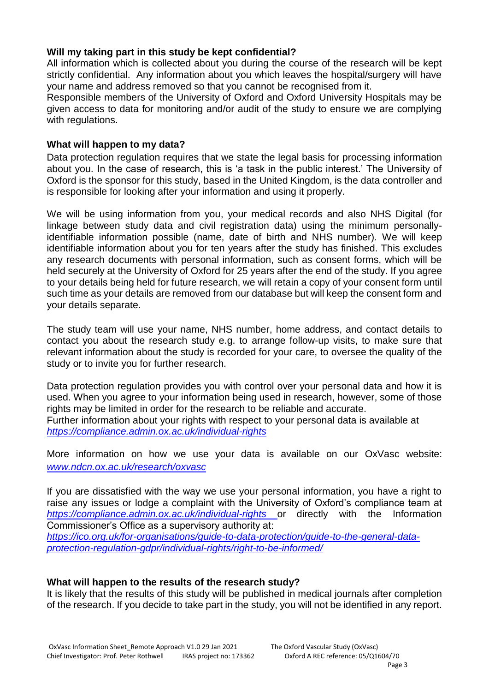## **Will my taking part in this study be kept confidential?**

All information which is collected about you during the course of the research will be kept strictly confidential. Any information about you which leaves the hospital/surgery will have your name and address removed so that you cannot be recognised from it.

Responsible members of the University of Oxford and Oxford University Hospitals may be given access to data for monitoring and/or audit of the study to ensure we are complying with regulations.

#### **What will happen to my data?**

Data protection regulation requires that we state the legal basis for processing information about you. In the case of research, this is 'a task in the public interest.' The University of Oxford is the sponsor for this study, based in the United Kingdom, is the data controller and is responsible for looking after your information and using it properly.

We will be using information from you, your medical records and also NHS Digital (for linkage between study data and civil registration data) using the minimum personallyidentifiable information possible (name, date of birth and NHS number). We will keep identifiable information about you for ten years after the study has finished. This excludes any research documents with personal information, such as consent forms, which will be held securely at the University of Oxford for 25 years after the end of the study. If you agree to your details being held for future research, we will retain a copy of your consent form until such time as your details are removed from our database but will keep the consent form and your details separate.

The study team will use your name, NHS number, home address, and contact details to contact you about the research study e.g. to arrange follow-up visits, to make sure that relevant information about the study is recorded for your care, to oversee the quality of the study or to invite you for further research.

Data protection regulation provides you with control over your personal data and how it is used. When you agree to your information being used in research, however, some of those rights may be limited in order for the research to be reliable and accurate. Further information about your rights with respect to your personal data is available at *<https://compliance.admin.ox.ac.uk/individual-rights>*

More information on how we use your data is available on our OxVasc website: *[www.ndcn.ox.ac.uk/research/oxvasc](http://www.ndcn.ox.ac.uk/research/oxvasc)*

If you are dissatisfied with the way we use your personal information, you have a right to raise any issues or lodge a complaint with the University of Oxford's compliance team at *<https://compliance.admin.ox.ac.uk/individual-rights>* or directly with the Information Commissioner's Office as a supervisory authority at:

*[https://ico.org.uk/for-organisations/guide-to-data-protection/guide-to-the-general-data](https://ico.org.uk/for-organisations/guide-to-data-protection/guide-to-the-general-data-protection-regulation-gdpr/individual-rights/right-to-be-informed/)[protection-regulation-gdpr/individual-rights/right-to-be-informed/](https://ico.org.uk/for-organisations/guide-to-data-protection/guide-to-the-general-data-protection-regulation-gdpr/individual-rights/right-to-be-informed/)*

#### **What will happen to the results of the research study?**

It is likely that the results of this study will be published in medical journals after completion of the research. If you decide to take part in the study, you will not be identified in any report.